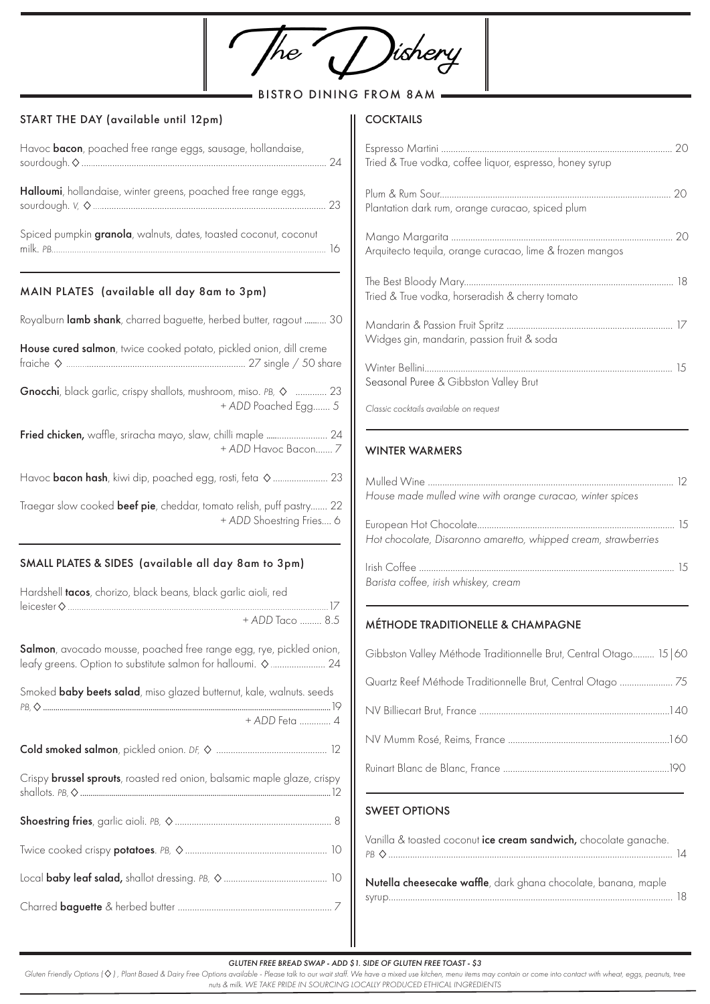| <b>BISTRO</b><br>START THE DAY (available until 12pm)                                                                                           | <b>DINING FROM 8AM</b><br><b>COCKTAILS</b>                                                                                  |
|-------------------------------------------------------------------------------------------------------------------------------------------------|-----------------------------------------------------------------------------------------------------------------------------|
| Havoc <b>bacon</b> , poached free range eggs, sausage, hollandaise,                                                                             | Tried & True vodka, coffee liquor, espresso, honey syrup                                                                    |
| Halloumi, hollandaise, winter greens, poached free range eggs,                                                                                  | Plantation dark rum, orange curacao, spiced plum                                                                            |
| Spiced pumpkin granola, walnuts, dates, toasted coconut, coconut                                                                                | Arquitecto tequila, orange curacao, lime & frozen mangos                                                                    |
| MAIN PLATES (available all day 8am to 3pm)                                                                                                      | Tried & True vodka, horseradish & cherry tomato                                                                             |
| Royalburn lamb shank, charred baguette, herbed butter, ragout  30                                                                               |                                                                                                                             |
| House cured salmon, twice cooked potato, pickled onion, dill creme<br>Gnocchi, black garlic, crispy shallots, mushroom, miso. PB, $\Diamond$ 23 | Widges gin, mandarin, passion fruit & soda<br>Seasonal Puree & Gibbston Valley Brut                                         |
| + ADD Poached Egg 5<br>+ ADD Havoc Bacon 7                                                                                                      | Classic cocktails available on request<br><b>WINTER WARMERS</b>                                                             |
| Traegar slow cooked beef pie, cheddar, tomato relish, puff pastry 22<br>+ ADD Shoestring Fries 6                                                | House made mulled wine with orange curacao, winter spices<br>Hot chocolate, Disaronno amaretto, whipped cream, strawberries |
| SMALL PLATES & SIDES (available all day 8am to 3pm)<br>Hardshell tacos, chorizo, black beans, black garlic aioli, red                           | Barista coffee, irish whiskey, cream                                                                                        |
| + ADD Taco  8.5                                                                                                                                 | MÉTHODE TRADITIONELLE & CHAMPAGNE                                                                                           |
| Salmon, avocado mousse, poached free range egg, rye, pickled onion,<br>leafy greens. Option to substitute salmon for halloumi. $\diamond$ 24    | Gibbston Valley Méthode Traditionnelle Brut, Central Otago 15   60                                                          |
| Smoked baby beets salad, miso glazed butternut, kale, walnuts. seeds<br>+ ADD Feta  4                                                           | Quartz Reef Méthode Traditionnelle Brut, Central Otago  75                                                                  |
|                                                                                                                                                 |                                                                                                                             |
| Crispy <b>brussel sprouts</b> , roasted red onion, balsamic maple glaze, crispy                                                                 |                                                                                                                             |
|                                                                                                                                                 | <b>SWEET OPTIONS</b>                                                                                                        |
|                                                                                                                                                 | Vanilla & toasted coconut ice cream sandwich, chocolate ganache.                                                            |
|                                                                                                                                                 | Nutella cheesecake waffle, dark ghana chocolate, banana, maple                                                              |
|                                                                                                                                                 |                                                                                                                             |
|                                                                                                                                                 |                                                                                                                             |

*GLUTEN FREE BREAD SWAP - ADD \$1. SIDE OF GLUTEN FREE TOAST - \$3* 

Gluten Friendly Options  $(Q)$ , Plant Based & Dairy Free Options available - Please talk to our wait staff. We have a mixed use kitchen, menu items may contain or come into contact with wheat, eggs, peanuts, tree *nuts & milk. WE TAKE PRIDE IN SOURCING LOCALLY PRODUCED ETHICAL INGREDIENTS*